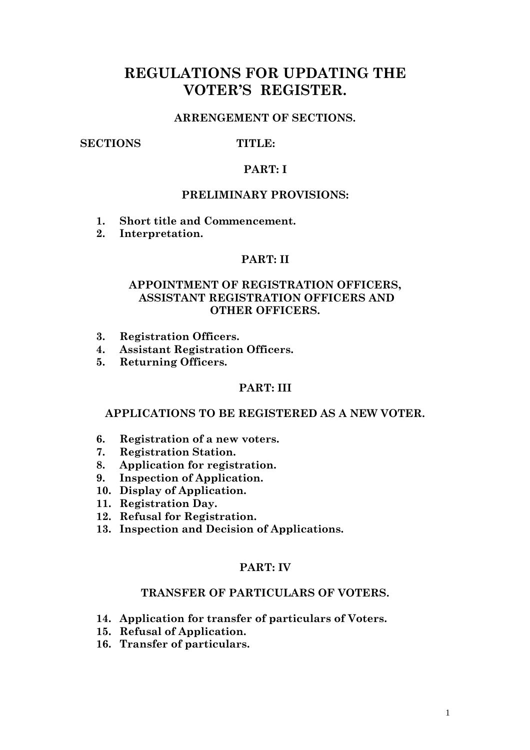# REGULATIONS FOR UPDATING THE VOTER'S REGISTER.

## ARRENGEMENT OF SECTIONS.

### SECTIONS TITLE:

#### PART: I

### PRELIMINARY PROVISIONS:

- 1. Short title and Commencement.
- 2. Interpretation.

# PART: II

# APPOINTMENT OF REGISTRATION OFFICERS, ASSISTANT REGISTRATION OFFICERS AND OTHER OFFICERS.

- 3. Registration Officers.
- 4. Assistant Registration Officers.
- 5. Returning Officers.

#### PART: III

#### APPLICATIONS TO BE REGISTERED AS A NEW VOTER.

- 6. Registration of a new voters.
- 7. Registration Station.
- 8. Application for registration.
- 9. Inspection of Application.
- 10. Display of Application.
- 11. Registration Day.
- 12. Refusal for Registration.
- 13. Inspection and Decision of Applications.

#### PART: IV

# TRANSFER OF PARTICULARS OF VOTERS.

- 14. Application for transfer of particulars of Voters.
- 15. Refusal of Application.
- 16. Transfer of particulars.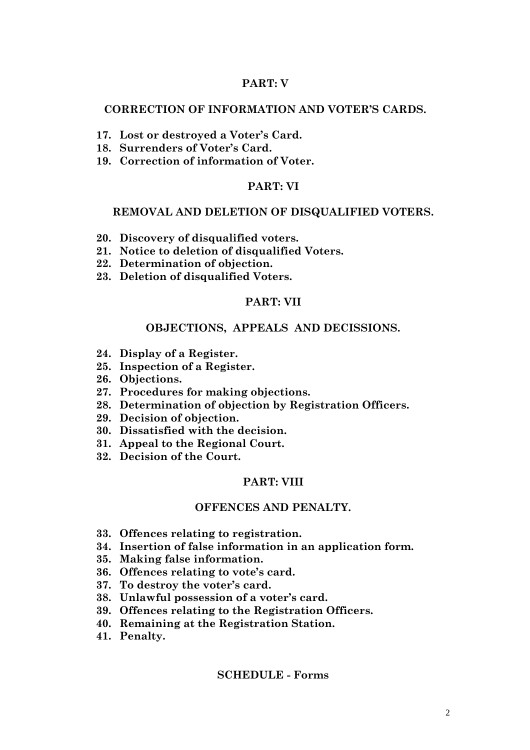## PART: V

### CORRECTION OF INFORMATION AND VOTER'S CARDS.

- 17. Lost or destroyed a Voter's Card.
- 18. Surrenders of Voter's Card.
- 19. Correction of information of Voter.

#### PART: VI

#### REMOVAL AND DELETION OF DISQUALIFIED VOTERS.

- 20. Discovery of disqualified voters.
- 21. Notice to deletion of disqualified Voters.
- 22. Determination of objection.
- 23. Deletion of disqualified Voters.

#### PART: VII

#### OBJECTIONS, APPEALS AND DECISSIONS.

- 24. Display of a Register.
- 25. Inspection of a Register.
- 26. Objections.
- 27. Procedures for making objections.
- 28. Determination of objection by Registration Officers.
- 29. Decision of objection.
- 30. Dissatisfied with the decision.
- 31. Appeal to the Regional Court.
- 32. Decision of the Court.

#### PART: VIII

#### OFFENCES AND PENALTY.

- 33. Offences relating to registration.
- 34. Insertion of false information in an application form.
- 35. Making false information.
- 36. Offences relating to vote's card.
- 37. To destroy the voter's card.
- 38. Unlawful possession of a voter's card.
- 39. Offences relating to the Registration Officers.
- 40. Remaining at the Registration Station.
- 41. Penalty.

#### SCHEDULE - Forms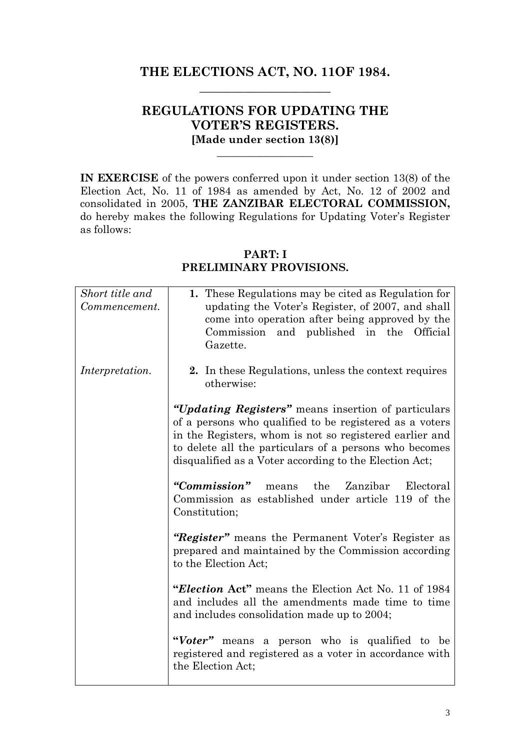# THE ELECTIONS ACT, NO. 11OF 1984. \_\_\_\_\_\_\_\_\_\_\_\_\_\_\_\_\_\_\_\_\_

# REGULATIONS FOR UPDATING THE VOTER'S REGISTERS. [Made under section 13(8)]

\_\_\_\_\_\_\_\_\_\_\_\_\_\_\_\_\_\_

IN EXERCISE of the powers conferred upon it under section 13(8) of the Election Act, No. 11 of 1984 as amended by Act, No. 12 of 2002 and consolidated in 2005, THE ZANZIBAR ELECTORAL COMMISSION, do hereby makes the following Regulations for Updating Voter's Register as follows:

# Short title and Commencement. Interpretation. 1. These Regulations may be cited as Regulation for updating the Voter's Register, of 2007, and shall come into operation after being approved by the Commission and published in the Official Gazette. 2. In these Regulations, unless the context requires otherwise: "Updating Registers" means insertion of particulars of a persons who qualified to be registered as a voters in the Registers, whom is not so registered earlier and to delete all the particulars of a persons who becomes disqualified as a Voter according to the Election Act; "Commission" means the Zanzibar Electoral Commission as established under article 119 of the Constitution; "Register" means the Permanent Voter's Register as prepared and maintained by the Commission according to the Election Act; "Election Act" means the Election Act No. 11 of 1984 and includes all the amendments made time to time and includes consolidation made up to 2004; "Voter" means a person who is qualified to be registered and registered as a voter in accordance with the Election Act;

# PART: I PRELIMINARY PROVISIONS.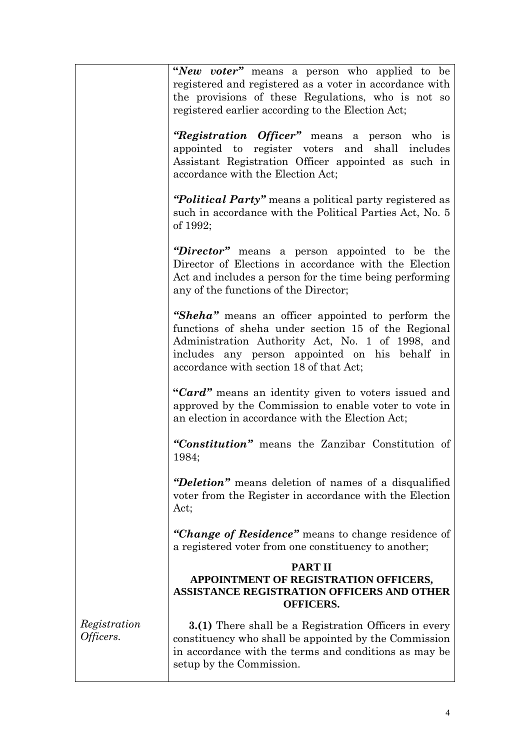|                           | "New voter" means a person who applied to be<br>registered and registered as a voter in accordance with<br>the provisions of these Regulations, who is not so<br>registered earlier according to the Election Act;                                        |
|---------------------------|-----------------------------------------------------------------------------------------------------------------------------------------------------------------------------------------------------------------------------------------------------------|
|                           | "Registration Officer" means a person who is<br>appointed to register voters and shall includes<br>Assistant Registration Officer appointed as such in<br>accordance with the Election Act;                                                               |
|                           | "Political Party" means a political party registered as<br>such in accordance with the Political Parties Act, No. 5<br>of 1992;                                                                                                                           |
|                           | "Director" means a person appointed to be the<br>Director of Elections in accordance with the Election<br>Act and includes a person for the time being performing<br>any of the functions of the Director;                                                |
|                           | "Sheha" means an officer appointed to perform the<br>functions of sheha under section 15 of the Regional<br>Administration Authority Act, No. 1 of 1998, and<br>includes any person appointed on his behalf in<br>accordance with section 18 of that Act; |
|                           | "Card" means an identity given to voters issued and<br>approved by the Commission to enable voter to vote in<br>an election in accordance with the Election Act;                                                                                          |
|                           | "Constitution" means the Zanzibar Constitution of<br>1984;                                                                                                                                                                                                |
|                           | "Deletion" means deletion of names of a disqualified<br>voter from the Register in accordance with the Election<br>Act;                                                                                                                                   |
|                           | "Change of Residence" means to change residence of<br>a registered voter from one constituency to another;                                                                                                                                                |
|                           | <b>PART II</b><br>APPOINTMENT OF REGISTRATION OFFICERS,<br><b>ASSISTANCE REGISTRATION OFFICERS AND OTHER</b><br><b>OFFICERS.</b>                                                                                                                          |
| Registration<br>Officers. | <b>3.(1)</b> There shall be a Registration Officers in every<br>constituency who shall be appointed by the Commission<br>in accordance with the terms and conditions as may be<br>setup by the Commission.                                                |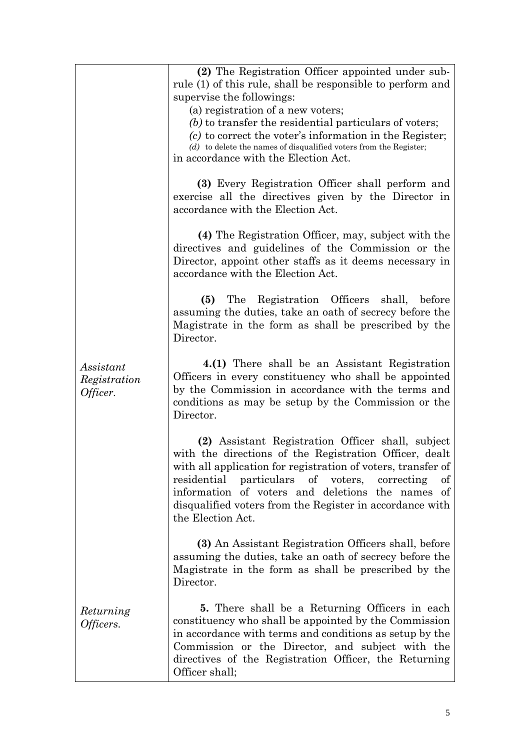|                                       | (2) The Registration Officer appointed under sub-<br>rule (1) of this rule, shall be responsible to perform and                                                                                                                                                                                                                                                            |
|---------------------------------------|----------------------------------------------------------------------------------------------------------------------------------------------------------------------------------------------------------------------------------------------------------------------------------------------------------------------------------------------------------------------------|
|                                       | supervise the followings:                                                                                                                                                                                                                                                                                                                                                  |
|                                       | (a) registration of a new voters;                                                                                                                                                                                                                                                                                                                                          |
|                                       | (b) to transfer the residential particulars of voters;                                                                                                                                                                                                                                                                                                                     |
|                                       | $(c)$ to correct the voter's information in the Register;                                                                                                                                                                                                                                                                                                                  |
|                                       | $(d)$ to delete the names of disqualified voters from the Register;                                                                                                                                                                                                                                                                                                        |
|                                       | in accordance with the Election Act.                                                                                                                                                                                                                                                                                                                                       |
|                                       | (3) Every Registration Officer shall perform and<br>exercise all the directives given by the Director in<br>accordance with the Election Act.                                                                                                                                                                                                                              |
|                                       | (4) The Registration Officer, may, subject with the<br>directives and guidelines of the Commission or the<br>Director, appoint other staffs as it deems necessary in<br>accordance with the Election Act.                                                                                                                                                                  |
|                                       | Registration Officers shall, before<br>(5)<br>The<br>assuming the duties, take an oath of secrecy before the<br>Magistrate in the form as shall be prescribed by the<br>Director.                                                                                                                                                                                          |
| Assistant<br>Registration<br>Officer. | 4.(1) There shall be an Assistant Registration<br>Officers in every constituency who shall be appointed<br>by the Commission in accordance with the terms and<br>conditions as may be setup by the Commission or the<br>Director.                                                                                                                                          |
|                                       | (2) Assistant Registration Officer shall, subject<br>with the directions of the Registration Officer, dealt<br>with all application for registration of voters, transfer of<br>residential particulars of voters,<br>correcting<br>οf<br>information of voters and deletions the names of<br>disqualified voters from the Register in accordance with<br>the Election Act. |
|                                       | (3) An Assistant Registration Officers shall, before<br>assuming the duties, take an oath of secrecy before the<br>Magistrate in the form as shall be prescribed by the<br>Director.                                                                                                                                                                                       |
| Returning<br>Officers.                | <b>5.</b> There shall be a Returning Officers in each<br>constituency who shall be appointed by the Commission<br>in accordance with terms and conditions as setup by the<br>Commission or the Director, and subject with the<br>directives of the Registration Officer, the Returning<br>Officer shall;                                                                   |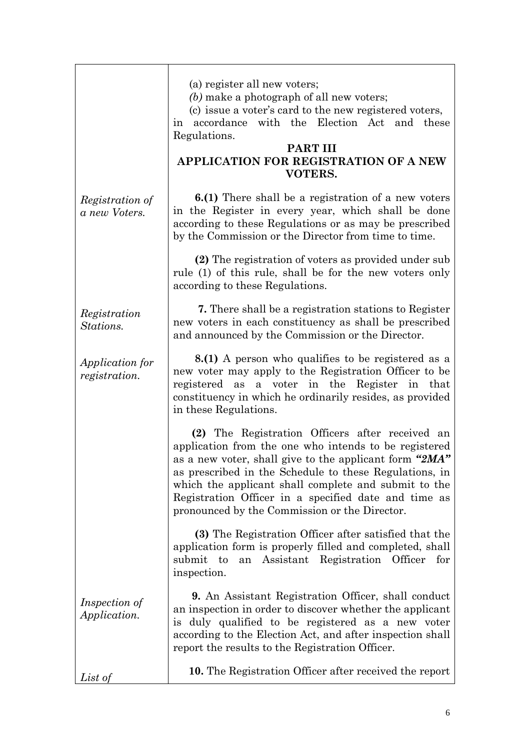|                                             | (a) register all new voters;<br>(b) make a photograph of all new voters;<br>(c) issue a voter's card to the new registered voters,<br>in accordance with the Election Act and these<br>Regulations.<br><b>PART III</b><br><b>APPLICATION FOR REGISTRATION OF A NEW</b><br><b>VOTERS.</b>                                                                                                      |
|---------------------------------------------|-----------------------------------------------------------------------------------------------------------------------------------------------------------------------------------------------------------------------------------------------------------------------------------------------------------------------------------------------------------------------------------------------|
| Registration of<br>a new Voters.            | <b>6.(1)</b> There shall be a registration of a new voters<br>in the Register in every year, which shall be done<br>according to these Regulations or as may be prescribed<br>by the Commission or the Director from time to time.                                                                                                                                                            |
|                                             | (2) The registration of voters as provided under sub<br>rule (1) of this rule, shall be for the new voters only<br>according to these Regulations.                                                                                                                                                                                                                                            |
| Registration<br>Stations.                   | 7. There shall be a registration stations to Register<br>new voters in each constituency as shall be prescribed<br>and announced by the Commission or the Director.                                                                                                                                                                                                                           |
| <i>Application for</i><br>registration.     | <b>8.(1)</b> A person who qualifies to be registered as a<br>new voter may apply to the Registration Officer to be<br>a voter in the Register in that<br>registered as<br>constituency in which he ordinarily resides, as provided<br>in these Regulations.                                                                                                                                   |
|                                             | (2) The Registration Officers after received an<br>application from the one who intends to be registered<br>as a new voter, shall give to the applicant form "2MA"<br>as prescribed in the Schedule to these Regulations, in<br>which the applicant shall complete and submit to the<br>Registration Officer in a specified date and time as<br>pronounced by the Commission or the Director. |
|                                             | (3) The Registration Officer after satisfied that the<br>application form is properly filled and completed, shall<br>Assistant Registration Officer<br>submit<br>to<br>an<br>for<br>inspection.                                                                                                                                                                                               |
| <i>Inspection of</i><br><i>Application.</i> | <b>9.</b> An Assistant Registration Officer, shall conduct<br>an inspection in order to discover whether the applicant<br>is duly qualified to be registered as a new voter<br>according to the Election Act, and after inspection shall<br>report the results to the Registration Officer.                                                                                                   |
| List of                                     | <b>10.</b> The Registration Officer after received the report                                                                                                                                                                                                                                                                                                                                 |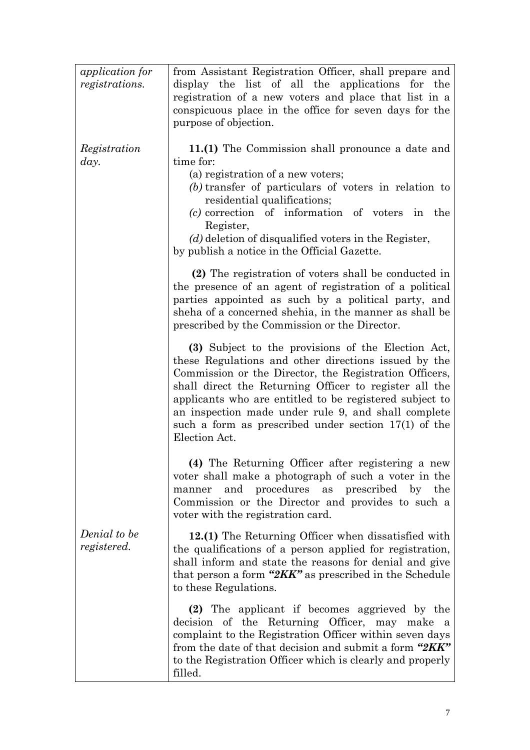| <i>application</i> for<br><i>registrations.</i> | from Assistant Registration Officer, shall prepare and<br>display the list of all the applications for the<br>registration of a new voters and place that list in a<br>conspicuous place in the office for seven days for the<br>purpose of objection.                                                                                                                                                                      |
|-------------------------------------------------|-----------------------------------------------------------------------------------------------------------------------------------------------------------------------------------------------------------------------------------------------------------------------------------------------------------------------------------------------------------------------------------------------------------------------------|
| Registration<br>day.                            | 11.(1) The Commission shall pronounce a date and<br>time for:<br>(a) registration of a new voters;<br>(b) transfer of particulars of voters in relation to<br>residential qualifications;<br>(c) correction of information of voters in the<br>Register,<br>$(d)$ deletion of disqualified voters in the Register,<br>by publish a notice in the Official Gazette.                                                          |
|                                                 | (2) The registration of voters shall be conducted in<br>the presence of an agent of registration of a political<br>parties appointed as such by a political party, and<br>sheha of a concerned shehia, in the manner as shall be<br>prescribed by the Commission or the Director.                                                                                                                                           |
|                                                 | (3) Subject to the provisions of the Election Act,<br>these Regulations and other directions issued by the<br>Commission or the Director, the Registration Officers,<br>shall direct the Returning Officer to register all the<br>applicants who are entitled to be registered subject to<br>an inspection made under rule 9, and shall complete<br>such a form as prescribed under section $17(1)$ of the<br>Election Act. |
|                                                 | (4) The Returning Officer after registering a new<br>voter shall make a photograph of such a voter in the<br>manner and procedures<br>as prescribed by the<br>Commission or the Director and provides to such a<br>voter with the registration card.                                                                                                                                                                        |
| Denial to be<br>registered.                     | 12.(1) The Returning Officer when dissatisfied with<br>the qualifications of a person applied for registration,<br>shall inform and state the reasons for denial and give<br>that person a form " $2KK$ " as prescribed in the Schedule<br>to these Regulations.                                                                                                                                                            |
|                                                 | (2) The applicant if becomes aggrieved by the<br>decision of the Returning Officer, may make a<br>complaint to the Registration Officer within seven days<br>from the date of that decision and submit a form "2KK"<br>to the Registration Officer which is clearly and properly<br>filled.                                                                                                                                 |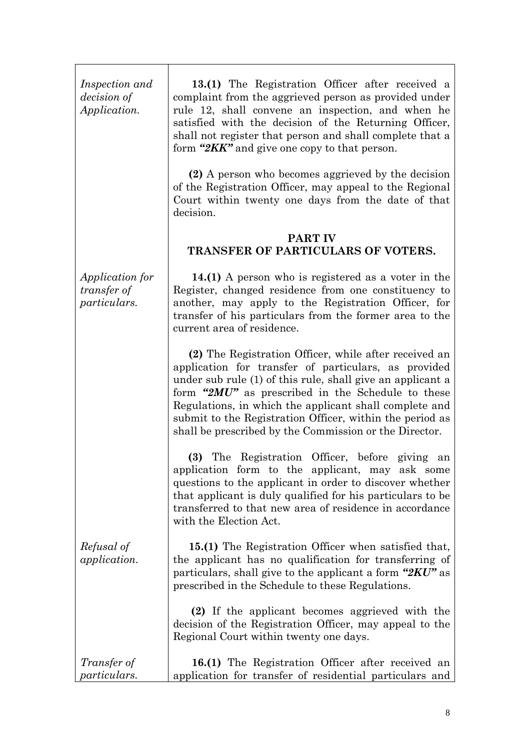| Inspection and<br><i>decision</i> of<br><i>Application.</i>         | 13.(1) The Registration Officer after received a<br>complaint from the aggrieved person as provided under<br>rule 12, shall convene an inspection, and when he<br>satisfied with the decision of the Returning Officer,<br>shall not register that person and shall complete that a<br>form "2KK" and give one copy to that person.                                                                              |
|---------------------------------------------------------------------|------------------------------------------------------------------------------------------------------------------------------------------------------------------------------------------------------------------------------------------------------------------------------------------------------------------------------------------------------------------------------------------------------------------|
|                                                                     | (2) A person who becomes aggrieved by the decision<br>of the Registration Officer, may appeal to the Regional<br>Court within twenty one days from the date of that<br>decision.                                                                                                                                                                                                                                 |
|                                                                     | PART IV<br>TRANSFER OF PARTICULARS OF VOTERS.                                                                                                                                                                                                                                                                                                                                                                    |
| <i>Application for</i><br><i>transfer of</i><br><i>particulars.</i> | 14.(1) A person who is registered as a voter in the<br>Register, changed residence from one constituency to<br>another, may apply to the Registration Officer, for<br>transfer of his particulars from the former area to the<br>current area of residence.                                                                                                                                                      |
|                                                                     | (2) The Registration Officer, while after received an<br>application for transfer of particulars, as provided<br>under sub rule (1) of this rule, shall give an applicant a<br>form "2MU" as prescribed in the Schedule to these<br>Regulations, in which the applicant shall complete and<br>submit to the Registration Officer, within the period as<br>shall be prescribed by the Commission or the Director. |
|                                                                     | (3) The Registration Officer, before giving an<br>application form to the applicant, may ask some<br>questions to the applicant in order to discover whether<br>that applicant is duly qualified for his particulars to be<br>transferred to that new area of residence in accordance<br>with the Election Act.                                                                                                  |
| Refusal of<br><i>application.</i>                                   | 15.(1) The Registration Officer when satisfied that,<br>the applicant has no qualification for transferring of<br>particulars, shall give to the applicant a form " $2KU$ " as<br>prescribed in the Schedule to these Regulations.                                                                                                                                                                               |
|                                                                     | (2) If the applicant becomes aggrieved with the<br>decision of the Registration Officer, may appeal to the<br>Regional Court within twenty one days.                                                                                                                                                                                                                                                             |
| <i>Transfer of</i><br><i>particulars.</i>                           | 16.(1) The Registration Officer after received an<br>application for transfer of residential particulars and                                                                                                                                                                                                                                                                                                     |

8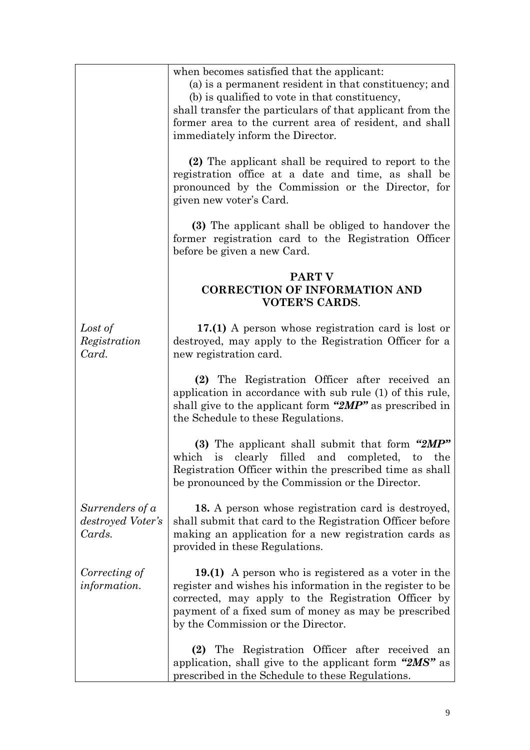|                                                | when becomes satisfied that the applicant:<br>(a) is a permanent resident in that constituency; and<br>(b) is qualified to vote in that constituency,<br>shall transfer the particulars of that applicant from the<br>former area to the current area of resident, and shall<br>immediately inform the Director. |
|------------------------------------------------|------------------------------------------------------------------------------------------------------------------------------------------------------------------------------------------------------------------------------------------------------------------------------------------------------------------|
|                                                | (2) The applicant shall be required to report to the<br>registration office at a date and time, as shall be<br>pronounced by the Commission or the Director, for<br>given new voter's Card.                                                                                                                      |
|                                                | (3) The applicant shall be obliged to handover the<br>former registration card to the Registration Officer<br>before be given a new Card.                                                                                                                                                                        |
|                                                | <b>PART V</b><br><b>CORRECTION OF INFORMATION AND</b><br><b>VOTER'S CARDS.</b>                                                                                                                                                                                                                                   |
| Lost of<br>Registration<br>Card.               | 17.(1) A person whose registration card is lost or<br>destroyed, may apply to the Registration Officer for a<br>new registration card.                                                                                                                                                                           |
|                                                | (2) The Registration Officer after received an<br>application in accordance with sub rule (1) of this rule,<br>shall give to the applicant form " $2MP"$ as prescribed in<br>the Schedule to these Regulations.                                                                                                  |
|                                                | (3) The applicant shall submit that form "2MP"<br>filled and completed,<br>which<br>is clearly<br>to<br>the<br>Registration Officer within the prescribed time as shall<br>be pronounced by the Commission or the Director.                                                                                      |
| Surrenders of a<br>destroyed Voter's<br>Cards. | 18. A person whose registration card is destroyed,<br>shall submit that card to the Registration Officer before<br>making an application for a new registration cards as<br>provided in these Regulations.                                                                                                       |
| Correcting of<br><i>information.</i>           | 19.(1) A person who is registered as a voter in the<br>register and wishes his information in the register to be<br>corrected, may apply to the Registration Officer by<br>payment of a fixed sum of money as may be prescribed<br>by the Commission or the Director.                                            |
|                                                | (2) The Registration Officer after received<br>an<br>application, shall give to the applicant form "2MS" as<br>prescribed in the Schedule to these Regulations.                                                                                                                                                  |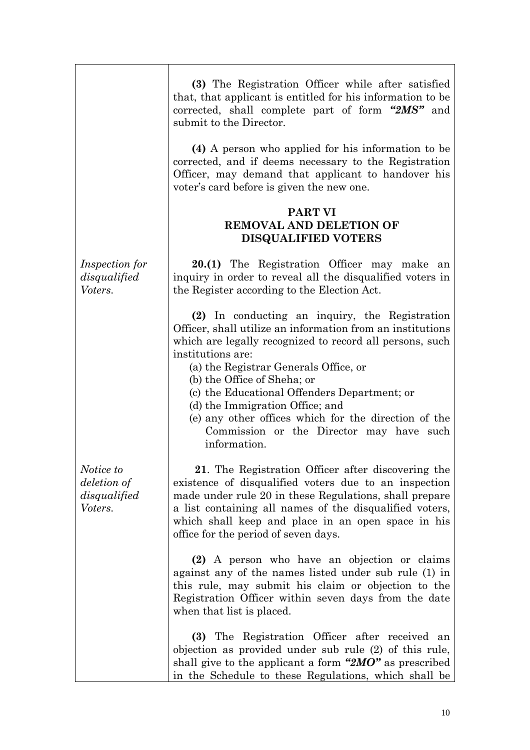|                                                     | (3) The Registration Officer while after satisfied<br>that, that applicant is entitled for his information to be<br>corrected, shall complete part of form "2MS" and<br>submit to the Director.                                                                                                                                                                                                                                                                              |
|-----------------------------------------------------|------------------------------------------------------------------------------------------------------------------------------------------------------------------------------------------------------------------------------------------------------------------------------------------------------------------------------------------------------------------------------------------------------------------------------------------------------------------------------|
|                                                     | (4) A person who applied for his information to be<br>corrected, and if deems necessary to the Registration<br>Officer, may demand that applicant to handover his<br>voter's card before is given the new one.                                                                                                                                                                                                                                                               |
|                                                     | <b>PART VI</b><br><b>REMOVAL AND DELETION OF</b><br><b>DISQUALIFIED VOTERS</b>                                                                                                                                                                                                                                                                                                                                                                                               |
| <i>Inspection for</i><br>disqualified<br>Voters.    | 20.(1) The Registration Officer may make an<br>inquiry in order to reveal all the disqualified voters in<br>the Register according to the Election Act.                                                                                                                                                                                                                                                                                                                      |
|                                                     | (2) In conducting an inquiry, the Registration<br>Officer, shall utilize an information from an institutions<br>which are legally recognized to record all persons, such<br>institutions are:<br>(a) the Registrar Generals Office, or<br>(b) the Office of Sheha; or<br>(c) the Educational Offenders Department; or<br>(d) the Immigration Office; and<br>(e) any other offices which for the direction of the<br>Commission or the Director may have such<br>information. |
| Notice to<br>deletion of<br>disqualified<br>Voters. | 21. The Registration Officer after discovering the<br>existence of disqualified voters due to an inspection<br>made under rule 20 in these Regulations, shall prepare<br>a list containing all names of the disqualified voters,<br>which shall keep and place in an open space in his<br>office for the period of seven days.                                                                                                                                               |
|                                                     | (2) A person who have an objection or claims<br>against any of the names listed under sub rule (1) in<br>this rule, may submit his claim or objection to the<br>Registration Officer within seven days from the date<br>when that list is placed.                                                                                                                                                                                                                            |
|                                                     | (3) The Registration Officer after received<br>an<br>objection as provided under sub rule (2) of this rule,<br>shall give to the applicant a form " $2MO$ " as prescribed<br>in the Schedule to these Regulations, which shall be                                                                                                                                                                                                                                            |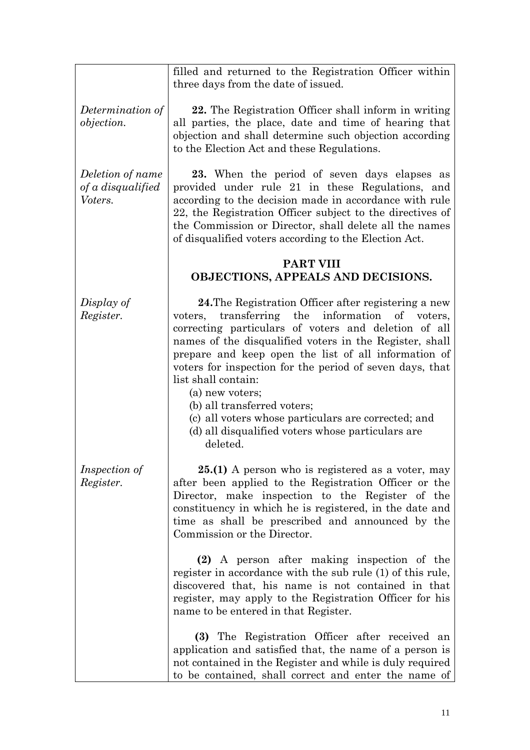|                                                  | filled and returned to the Registration Officer within<br>three days from the date of issued.                                                                                                                                                                                                                                                                                                                                                                                                                                                      |
|--------------------------------------------------|----------------------------------------------------------------------------------------------------------------------------------------------------------------------------------------------------------------------------------------------------------------------------------------------------------------------------------------------------------------------------------------------------------------------------------------------------------------------------------------------------------------------------------------------------|
| Determination of<br><i>objection.</i>            | 22. The Registration Officer shall inform in writing<br>all parties, the place, date and time of hearing that<br>objection and shall determine such objection according<br>to the Election Act and these Regulations.                                                                                                                                                                                                                                                                                                                              |
| Deletion of name<br>of a disqualified<br>Voters. | 23. When the period of seven days elapses as<br>provided under rule 21 in these Regulations, and<br>according to the decision made in accordance with rule<br>22, the Registration Officer subject to the directives of<br>the Commission or Director, shall delete all the names<br>of disqualified voters according to the Election Act.                                                                                                                                                                                                         |
|                                                  | <b>PART VIII</b><br>OBJECTIONS, APPEALS AND DECISIONS.                                                                                                                                                                                                                                                                                                                                                                                                                                                                                             |
| Display of<br>Register.                          | 24. The Registration Officer after registering a new<br>transferring the information of voters,<br>voters,<br>correcting particulars of voters and deletion of all<br>names of the disqualified voters in the Register, shall<br>prepare and keep open the list of all information of<br>voters for inspection for the period of seven days, that<br>list shall contain:<br>(a) new voters;<br>(b) all transferred voters;<br>(c) all voters whose particulars are corrected; and<br>(d) all disqualified voters whose particulars are<br>deleted. |
| <i>Inspection of</i><br>Register.                | 25.(1) A person who is registered as a voter, may<br>after been applied to the Registration Officer or the<br>Director, make inspection to the Register of the<br>constituency in which he is registered, in the date and<br>time as shall be prescribed and announced by the<br>Commission or the Director.                                                                                                                                                                                                                                       |
|                                                  | (2) A person after making inspection of the<br>register in accordance with the sub rule (1) of this rule,<br>discovered that, his name is not contained in that<br>register, may apply to the Registration Officer for his<br>name to be entered in that Register.                                                                                                                                                                                                                                                                                 |
|                                                  | (3) The Registration Officer after received an<br>application and satisfied that, the name of a person is<br>not contained in the Register and while is duly required<br>to be contained, shall correct and enter the name of                                                                                                                                                                                                                                                                                                                      |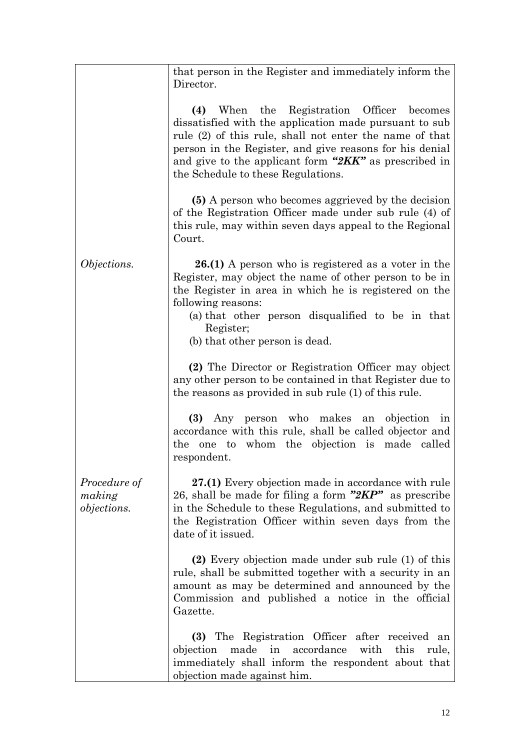|                                              | that person in the Register and immediately inform the<br>Director.                                                                                                                                                                                                                                                             |
|----------------------------------------------|---------------------------------------------------------------------------------------------------------------------------------------------------------------------------------------------------------------------------------------------------------------------------------------------------------------------------------|
|                                              | (4) When the Registration Officer<br>becomes<br>dissatisfied with the application made pursuant to sub<br>rule (2) of this rule, shall not enter the name of that<br>person in the Register, and give reasons for his denial<br>and give to the applicant form " $2KK$ " as prescribed in<br>the Schedule to these Regulations. |
|                                              | (5) A person who becomes aggrieved by the decision<br>of the Registration Officer made under sub rule (4) of<br>this rule, may within seven days appeal to the Regional<br>Court.                                                                                                                                               |
| Objections.                                  | <b>26.(1)</b> A person who is registered as a voter in the<br>Register, may object the name of other person to be in<br>the Register in area in which he is registered on the<br>following reasons:<br>(a) that other person disqualified to be in that<br>Register;<br>(b) that other person is dead.                          |
|                                              | (2) The Director or Registration Officer may object<br>any other person to be contained in that Register due to<br>the reasons as provided in sub rule (1) of this rule.                                                                                                                                                        |
|                                              | (3) Any person who makes an objection in<br>accordance with this rule, shall be called objector and<br>one to whom the objection is made called<br>the<br>respondent.                                                                                                                                                           |
| Procedure of<br>making<br><i>objections.</i> | 27.(1) Every objection made in accordance with rule<br>26, shall be made for filing a form "2KP" as prescribe<br>in the Schedule to these Regulations, and submitted to<br>the Registration Officer within seven days from the<br>date of it issued.                                                                            |
|                                              | (2) Every objection made under sub rule (1) of this<br>rule, shall be submitted together with a security in an<br>amount as may be determined and announced by the<br>Commission and published a notice in the official<br>Gazette.                                                                                             |
|                                              | (3) The Registration Officer after received an<br>objection<br>made<br>in accordance<br>with<br>this<br>rule,<br>immediately shall inform the respondent about that<br>objection made against him.                                                                                                                              |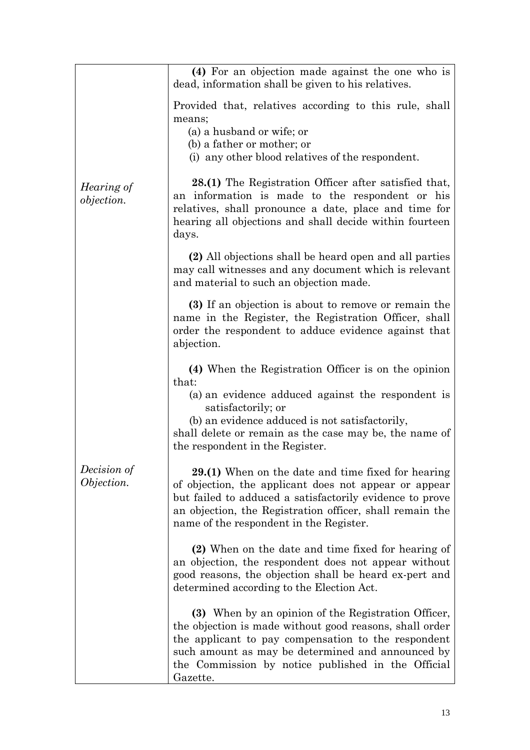|                                 | (4) For an objection made against the one who is<br>dead, information shall be given to his relatives.                                                                                                                                                                                       |
|---------------------------------|----------------------------------------------------------------------------------------------------------------------------------------------------------------------------------------------------------------------------------------------------------------------------------------------|
|                                 | Provided that, relatives according to this rule, shall<br>means;<br>(a) a husband or wife; or<br>(b) a father or mother; or<br>(i) any other blood relatives of the respondent.                                                                                                              |
| Hearing of<br><i>objection.</i> | 28.(1) The Registration Officer after satisfied that,<br>an information is made to the respondent or his<br>relatives, shall pronounce a date, place and time for<br>hearing all objections and shall decide within fourteen<br>days.                                                        |
|                                 | (2) All objections shall be heard open and all parties<br>may call witnesses and any document which is relevant<br>and material to such an objection made.                                                                                                                                   |
|                                 | (3) If an objection is about to remove or remain the<br>name in the Register, the Registration Officer, shall<br>order the respondent to adduce evidence against that<br>abjection.                                                                                                          |
|                                 | (4) When the Registration Officer is on the opinion<br>that:<br>(a) an evidence adduced against the respondent is<br>satisfactorily; or<br>(b) an evidence adduced is not satisfactorily,<br>shall delete or remain as the case may be, the name of<br>the respondent in the Register.       |
| Decision of<br>Objection.       | 29.(1) When on the date and time fixed for hearing<br>of objection, the applicant does not appear or appear<br>but failed to adduced a satisfactorily evidence to prove<br>an objection, the Registration officer, shall remain the<br>name of the respondent in the Register.               |
|                                 | (2) When on the date and time fixed for hearing of<br>an objection, the respondent does not appear without<br>good reasons, the objection shall be heard ex-pert and<br>determined according to the Election Act.                                                                            |
|                                 | (3) When by an opinion of the Registration Officer,<br>the objection is made without good reasons, shall order<br>the applicant to pay compensation to the respondent<br>such amount as may be determined and announced by<br>the Commission by notice published in the Official<br>Gazette. |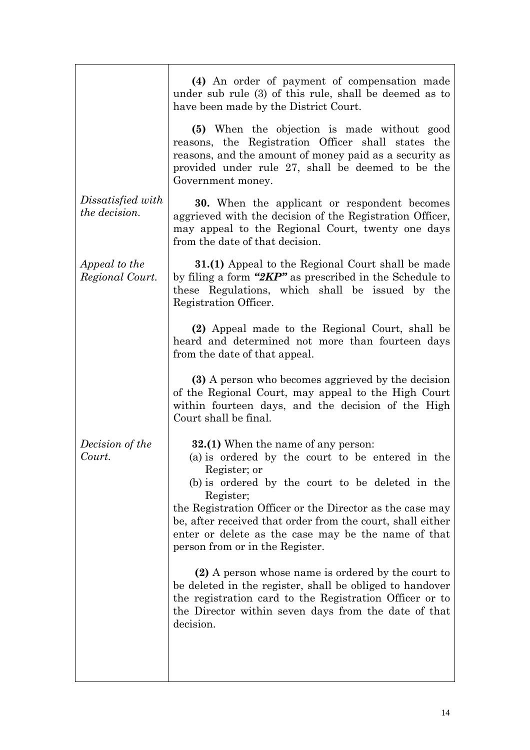|                                           | (4) An order of payment of compensation made<br>under sub rule (3) of this rule, shall be deemed as to<br>have been made by the District Court.                                                                                                                                                                                                                                                                                                                                                                                                                                                                                                       |
|-------------------------------------------|-------------------------------------------------------------------------------------------------------------------------------------------------------------------------------------------------------------------------------------------------------------------------------------------------------------------------------------------------------------------------------------------------------------------------------------------------------------------------------------------------------------------------------------------------------------------------------------------------------------------------------------------------------|
|                                           | (5) When the objection is made without good<br>reasons, the Registration Officer shall states the<br>reasons, and the amount of money paid as a security as<br>provided under rule 27, shall be deemed to be the<br>Government money.                                                                                                                                                                                                                                                                                                                                                                                                                 |
| Dissatisfied with<br><i>the decision.</i> | <b>30.</b> When the applicant or respondent becomes<br>aggrieved with the decision of the Registration Officer,<br>may appeal to the Regional Court, twenty one days<br>from the date of that decision.                                                                                                                                                                                                                                                                                                                                                                                                                                               |
| Appeal to the<br>Regional Court.          | <b>31.(1)</b> Appeal to the Regional Court shall be made<br>by filing a form " $2KP$ " as prescribed in the Schedule to<br>these Regulations, which shall be issued by the<br>Registration Officer.                                                                                                                                                                                                                                                                                                                                                                                                                                                   |
|                                           | (2) Appeal made to the Regional Court, shall be<br>heard and determined not more than fourteen days<br>from the date of that appeal.                                                                                                                                                                                                                                                                                                                                                                                                                                                                                                                  |
|                                           | (3) A person who becomes aggrieved by the decision<br>of the Regional Court, may appeal to the High Court<br>within fourteen days, and the decision of the High<br>Court shall be final.                                                                                                                                                                                                                                                                                                                                                                                                                                                              |
| Decision of the<br>Court.                 | <b>32.(1)</b> When the name of any person:<br>(a) is ordered by the court to be entered in the<br>Register; or<br>(b) is ordered by the court to be deleted in the<br>Register;<br>the Registration Officer or the Director as the case may<br>be, after received that order from the court, shall either<br>enter or delete as the case may be the name of that<br>person from or in the Register.<br>(2) A person whose name is ordered by the court to<br>be deleted in the register, shall be obliged to handover<br>the registration card to the Registration Officer or to<br>the Director within seven days from the date of that<br>decision. |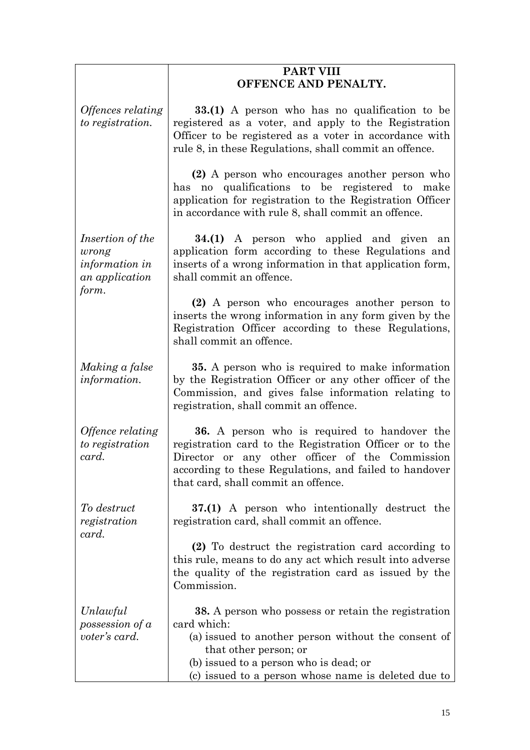|                                                                                      | <b>PART VIII</b>                                                                                                                                                                                                                                                   |
|--------------------------------------------------------------------------------------|--------------------------------------------------------------------------------------------------------------------------------------------------------------------------------------------------------------------------------------------------------------------|
|                                                                                      | OFFENCE AND PENALTY.                                                                                                                                                                                                                                               |
| <i><b>Offences relating</b></i><br>to registration.                                  | 33.(1) A person who has no qualification to be<br>registered as a voter, and apply to the Registration<br>Officer to be registered as a voter in accordance with<br>rule 8, in these Regulations, shall commit an offence.                                         |
|                                                                                      | (2) A person who encourages another person who<br>has no qualifications to be registered to make<br>application for registration to the Registration Officer<br>in accordance with rule 8, shall commit an offence.                                                |
| <i>Insertion of the</i><br>wrong<br><i>information in</i><br>an application<br>form. | <b>34.(1)</b> A person who applied and given an<br>application form according to these Regulations and<br>inserts of a wrong information in that application form,<br>shall commit an offence.                                                                     |
|                                                                                      | (2) A person who encourages another person to<br>inserts the wrong information in any form given by the<br>Registration Officer according to these Regulations,<br>shall commit an offence.                                                                        |
| Making a false<br>information.                                                       | <b>35.</b> A person who is required to make information<br>by the Registration Officer or any other officer of the<br>Commission, and gives false information relating to<br>registration, shall commit an offence.                                                |
| Offence relating<br>to registration<br>card.                                         | <b>36.</b> A person who is required to handover the<br>registration card to the Registration Officer or to the<br>Director or any other officer of the Commission<br>according to these Regulations, and failed to handover<br>that card, shall commit an offence. |
| To destruct<br>registration<br>card.                                                 | 37.(1) A person who intentionally destruct the<br>registration card, shall commit an offence.                                                                                                                                                                      |
|                                                                                      | (2) To destruct the registration card according to<br>this rule, means to do any act which result into adverse<br>the quality of the registration card as issued by the<br>Commission.                                                                             |
| Unlawful<br>possession of a<br>voter's card.                                         | <b>38.</b> A person who possess or retain the registration<br>card which:<br>(a) issued to another person without the consent of<br>that other person; or<br>(b) issued to a person who is dead; or<br>(c) issued to a person whose name is deleted due to         |